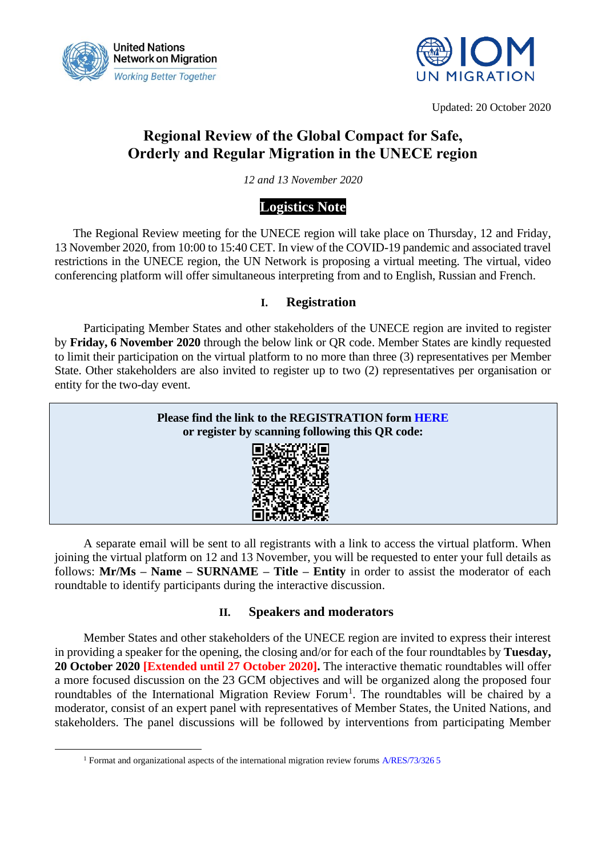



Updated: 20 October 2020

# **Regional Review of the Global Compact for Safe, Orderly and Regular Migration in the UNECE region**

*12 and 13 November 2020*

# **Logistics Note**

The Regional Review meeting for the UNECE region will take place on Thursday, 12 and Friday, 13 November 2020, from 10:00 to 15:40 CET. In view of the COVID-19 pandemic and associated travel restrictions in the UNECE region, the UN Network is proposing a virtual meeting. The virtual, video conferencing platform will offer simultaneous interpreting from and to English, Russian and French.

## **I. Registration**

Participating Member States and other stakeholders of the UNECE region are invited to register by **Friday, 6 November 2020** through the below link or QR code. Member States are kindly requested to limit their participation on the virtual platform to no more than three (3) representatives per Member State. Other stakeholders are also invited to register up to two (2) representatives per organisation or entity for the two-day event.



A separate email will be sent to all registrants with a link to access the virtual platform. When joining the virtual platform on 12 and 13 November, you will be requested to enter your full details as follows: **Mr/Ms – Name – SURNAME – Title – Entity** in order to assist the moderator of each roundtable to identify participants during the interactive discussion.

## **II. Speakers and moderators**

Member States and other stakeholders of the UNECE region are invited to express their interest in providing a speaker for the opening, the closing and/or for each of the four roundtables by **Tuesday, 20 October 2020 [Extended until 27 October 2020].** The interactive thematic roundtables will offer a more focused discussion on the 23 GCM objectives and will be organized along the proposed four roundtables of the International Migration Review Forum<sup>1</sup>. The roundtables will be chaired by a moderator, consist of an expert panel with representatives of Member States, the United Nations, and stakeholders. The panel discussions will be followed by interventions from participating Member

<sup>1</sup> Format and organizational aspects of the international migration review forum[s A/RES/73/326 5](https://undocs.org/en/A/RES/73/326)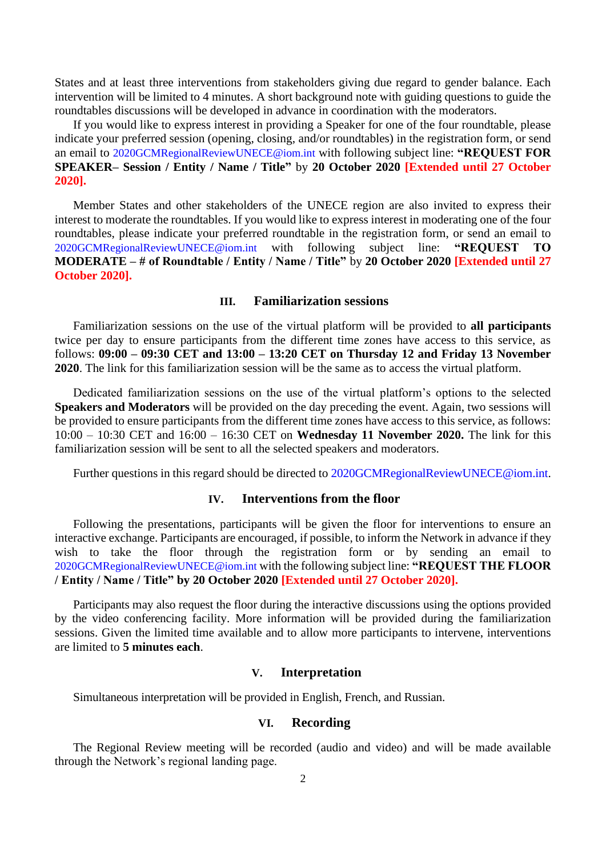States and at least three interventions from stakeholders giving due regard to gender balance. Each intervention will be limited to 4 minutes. A short background note with guiding questions to guide the roundtables discussions will be developed in advance in coordination with the moderators.

If you would like to express interest in providing a Speaker for one of the four roundtable, please indicate your preferred session (opening, closing, and/or roundtables) in the registration form, or send an email to [2020GCMRegionalReviewUNECE@iom.int](mailto:2020GCMRegionalReviewUNECE@iom.int) with following subject line: **"REQUEST FOR SPEAKER– Session / Entity / Name / Title"** by **20 October 2020 [Extended until 27 October 2020].**

Member States and other stakeholders of the UNECE region are also invited to express their interest to moderate the roundtables. If you would like to express interest in moderating one of the four roundtables, please indicate your preferred roundtable in the registration form, or send an email to [2020GCMRegionalReviewUNECE@iom.int](mailto:2020GCMRegionalReviewUNECE@iom.int) with following subject line: **"REQUEST TO MODERATE – # of Roundtable / Entity / Name / Title"** by **20 October 2020 [Extended until 27 October 2020].**

### **III. Familiarization sessions**

Familiarization sessions on the use of the virtual platform will be provided to **all participants**  twice per day to ensure participants from the different time zones have access to this service, as follows: **09:00 – 09:30 CET and 13:00 – 13:20 CET on Thursday 12 and Friday 13 November 2020**. The link for this familiarization session will be the same as to access the virtual platform.

Dedicated familiarization sessions on the use of the virtual platform's options to the selected **Speakers and Moderators** will be provided on the day preceding the event. Again, two sessions will be provided to ensure participants from the different time zones have access to this service, as follows: 10:00 – 10:30 CET and 16:00 – 16:30 CET on **Wednesday 11 November 2020.** The link for this familiarization session will be sent to all the selected speakers and moderators.

Further questions in this regard should be directed to [2020GCMRegionalReviewUNECE@iom.int.](mailto:2020GCMRegionalReviewUNECE@iom.int)

### **IV. Interventions from the floor**

Following the presentations, participants will be given the floor for interventions to ensure an interactive exchange. Participants are encouraged, if possible, to inform the Network in advance if they wish to take the floor through the registration form or by sending an email to [2020GCMRegionalReviewUNECE@iom.int](mailto:2020GCMRegionalReviewUNECE@iom.int) with the following subject line: **"REQUEST THE FLOOR / Entity / Name / Title" by 20 October 2020 [Extended until 27 October 2020].** 

Participants may also request the floor during the interactive discussions using the options provided by the video conferencing facility. More information will be provided during the familiarization sessions. Given the limited time available and to allow more participants to intervene, interventions are limited to **5 minutes each**.

#### **V. Interpretation**

Simultaneous interpretation will be provided in English, French, and Russian.

#### **VI. Recording**

The Regional Review meeting will be recorded (audio and video) and will be made available through the Network's regional landing page.